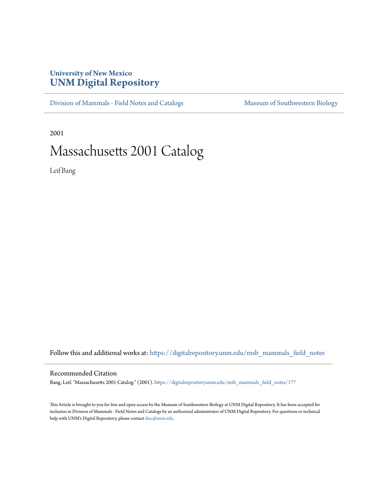## **University of New Mexico [UNM Digital Repository](https://digitalrepository.unm.edu?utm_source=digitalrepository.unm.edu%2Fmsb_mammals_field_notes%2F177&utm_medium=PDF&utm_campaign=PDFCoverPages)**

[Division of Mammals - Field Notes and Catalogs](https://digitalrepository.unm.edu/msb_mammals_field_notes?utm_source=digitalrepository.unm.edu%2Fmsb_mammals_field_notes%2F177&utm_medium=PDF&utm_campaign=PDFCoverPages) [Museum of Southwestern Biology](https://digitalrepository.unm.edu/msb?utm_source=digitalrepository.unm.edu%2Fmsb_mammals_field_notes%2F177&utm_medium=PDF&utm_campaign=PDFCoverPages)

2001

## Massachusetts 2001 Catalog

Leif Bang

Follow this and additional works at: [https://digitalrepository.unm.edu/msb\\_mammals\\_field\\_notes](https://digitalrepository.unm.edu/msb_mammals_field_notes?utm_source=digitalrepository.unm.edu%2Fmsb_mammals_field_notes%2F177&utm_medium=PDF&utm_campaign=PDFCoverPages)

## Recommended Citation

Bang, Leif. "Massachusetts 2001 Catalog." (2001). [https://digitalrepository.unm.edu/msb\\_mammals\\_field\\_notes/177](https://digitalrepository.unm.edu/msb_mammals_field_notes/177?utm_source=digitalrepository.unm.edu%2Fmsb_mammals_field_notes%2F177&utm_medium=PDF&utm_campaign=PDFCoverPages)

This Article is brought to you for free and open access by the Museum of Southwestern Biology at UNM Digital Repository. It has been accepted for inclusion in Division of Mammals - Field Notes and Catalogs by an authorized administrator of UNM Digital Repository. For questions or technical help with UNM's Digital Repository, please contact [disc@unm.edu](mailto:disc@unm.edu).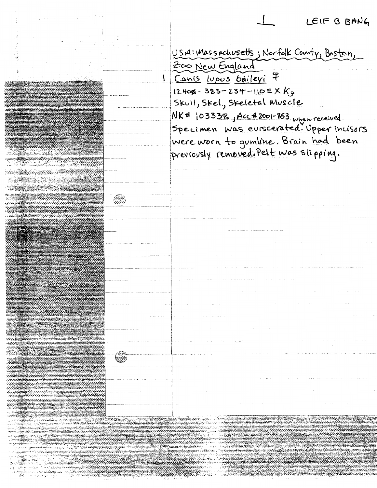LEIF B BANG

USA: Massachusetts; Norfolk County, Baston, Zoo New England Canis lupus baileyi 7  $12408 - 383 - 234 - 1105XK_9$ Skull, Skel., Skeletal Muscle NK# 103338, Acc#2001-863 when received.<br>Specimen was eviscerated. Upper incisors were worn to gumline. Brain had been previously removed. Pelt was slipping.

I

GS